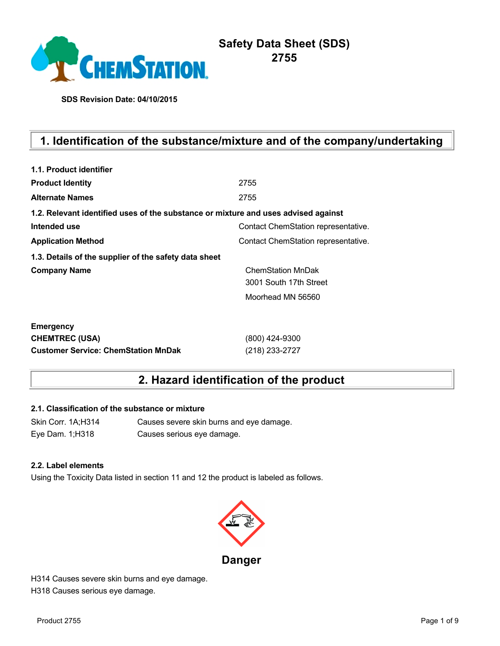

**SDS Revision Date: 04/10/2015**

# **1. Identification of the substance/mixture and of the company/undertaking**

| 1.1. Product identifier                                                            |                                     |
|------------------------------------------------------------------------------------|-------------------------------------|
| <b>Product Identity</b>                                                            | 2755                                |
| <b>Alternate Names</b>                                                             | 2755                                |
| 1.2. Relevant identified uses of the substance or mixture and uses advised against |                                     |
| Intended use                                                                       | Contact ChemStation representative. |
| <b>Application Method</b>                                                          | Contact ChemStation representative. |
| 1.3. Details of the supplier of the safety data sheet                              |                                     |
| <b>Company Name</b>                                                                | <b>ChemStation MnDak</b>            |
|                                                                                    | 3001 South 17th Street              |
|                                                                                    | Moorhead MN 56560                   |
| <b>Emergency</b>                                                                   |                                     |
| <b>CHEMTREC (USA)</b>                                                              | (800) 424-9300                      |
| <b>Customer Service: ChemStation MnDak</b>                                         | (218) 233-2727                      |

# **2. Hazard identification of the product**

#### **2.1. Classification of the substance or mixture**

Skin Corr. 1A;H314 Causes severe skin burns and eye damage. Eye Dam. 1;H318 Causes serious eye damage.

#### **2.2. Label elements**

Using the Toxicity Data listed in section 11 and 12 the product is labeled as follows.



H314 Causes severe skin burns and eye damage. H318 Causes serious eye damage.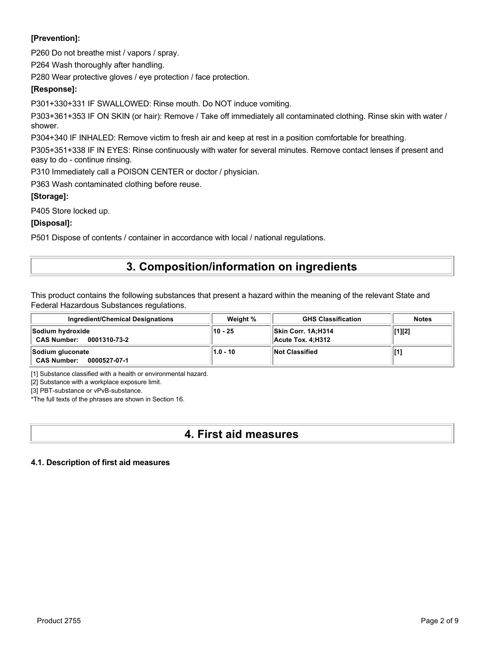#### **[Prevention]:**

P260 Do not breathe mist / vapors / spray.

P264 Wash thoroughly after handling.

P280 Wear protective gloves / eye protection / face protection.

#### **[Response]:**

P301+330+331 IF SWALLOWED: Rinse mouth. Do NOT induce vomiting.

P303+361+353 IF ON SKIN (or hair): Remove / Take off immediately all contaminated clothing. Rinse skin with water / shower.

P304+340 IF INHALED: Remove victim to fresh air and keep at rest in a position comfortable for breathing.

P305+351+338 IF IN EYES: Rinse continuously with water for several minutes. Remove contact lenses if present and easy to do - continue rinsing.

P310 Immediately call a POISON CENTER or doctor / physician.

P363 Wash contaminated clothing before reuse.

#### **[Storage]:**

P405 Store locked up.

#### **[Disposal]:**

P501 Dispose of contents / container in accordance with local / national regulations.

### **3. Composition/information on ingredients**

This product contains the following substances that present a hazard within the meaning of the relevant State and Federal Hazardous Substances regulations.

| <b>Ingredient/Chemical Designations</b>                | Weight %   | <b>GHS Classification</b>                 | <b>Notes</b> |
|--------------------------------------------------------|------------|-------------------------------------------|--------------|
| Sodium hydroxide<br><b>CAS Number:</b><br>0001310-73-2 | $10 - 25$  | ∣∣Skin Corr. 1A:H314<br>Acute Tox. 4:H312 | [1][2]       |
| Sodium gluconate<br><b>CAS Number:</b><br>0000527-07-1 | $1.0 - 10$ | Not Classified                            | [1]          |

[1] Substance classified with a health or environmental hazard.

[2] Substance with a workplace exposure limit.

[3] PBT-substance or vPvB-substance.

\*The full texts of the phrases are shown in Section 16.

# **4. First aid measures**

#### **4.1. Description of first aid measures**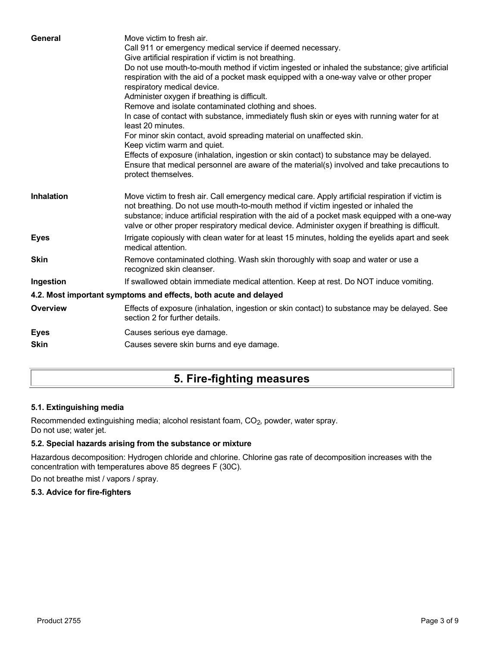| General           | Move victim to fresh air.<br>Call 911 or emergency medical service if deemed necessary.<br>Give artificial respiration if victim is not breathing.<br>Do not use mouth-to-mouth method if victim ingested or inhaled the substance; give artificial<br>respiration with the aid of a pocket mask equipped with a one-way valve or other proper<br>respiratory medical device.<br>Administer oxygen if breathing is difficult.<br>Remove and isolate contaminated clothing and shoes.<br>In case of contact with substance, immediately flush skin or eyes with running water for at<br>least 20 minutes.<br>For minor skin contact, avoid spreading material on unaffected skin.<br>Keep victim warm and quiet.<br>Effects of exposure (inhalation, ingestion or skin contact) to substance may be delayed.<br>Ensure that medical personnel are aware of the material(s) involved and take precautions to<br>protect themselves. |
|-------------------|-----------------------------------------------------------------------------------------------------------------------------------------------------------------------------------------------------------------------------------------------------------------------------------------------------------------------------------------------------------------------------------------------------------------------------------------------------------------------------------------------------------------------------------------------------------------------------------------------------------------------------------------------------------------------------------------------------------------------------------------------------------------------------------------------------------------------------------------------------------------------------------------------------------------------------------|
| <b>Inhalation</b> | Move victim to fresh air. Call emergency medical care. Apply artificial respiration if victim is<br>not breathing. Do not use mouth-to-mouth method if victim ingested or inhaled the<br>substance; induce artificial respiration with the aid of a pocket mask equipped with a one-way<br>valve or other proper respiratory medical device. Administer oxygen if breathing is difficult.                                                                                                                                                                                                                                                                                                                                                                                                                                                                                                                                         |
| <b>Eyes</b>       | Irrigate copiously with clean water for at least 15 minutes, holding the eyelids apart and seek<br>medical attention.                                                                                                                                                                                                                                                                                                                                                                                                                                                                                                                                                                                                                                                                                                                                                                                                             |
| <b>Skin</b>       | Remove contaminated clothing. Wash skin thoroughly with soap and water or use a<br>recognized skin cleanser.                                                                                                                                                                                                                                                                                                                                                                                                                                                                                                                                                                                                                                                                                                                                                                                                                      |
| Ingestion         | If swallowed obtain immediate medical attention. Keep at rest. Do NOT induce vomiting.                                                                                                                                                                                                                                                                                                                                                                                                                                                                                                                                                                                                                                                                                                                                                                                                                                            |
|                   | 4.2. Most important symptoms and effects, both acute and delayed                                                                                                                                                                                                                                                                                                                                                                                                                                                                                                                                                                                                                                                                                                                                                                                                                                                                  |
| <b>Overview</b>   | Effects of exposure (inhalation, ingestion or skin contact) to substance may be delayed. See<br>section 2 for further details.                                                                                                                                                                                                                                                                                                                                                                                                                                                                                                                                                                                                                                                                                                                                                                                                    |
| <b>Eyes</b>       | Causes serious eye damage.                                                                                                                                                                                                                                                                                                                                                                                                                                                                                                                                                                                                                                                                                                                                                                                                                                                                                                        |
| <b>Skin</b>       | Causes severe skin burns and eye damage.                                                                                                                                                                                                                                                                                                                                                                                                                                                                                                                                                                                                                                                                                                                                                                                                                                                                                          |
|                   |                                                                                                                                                                                                                                                                                                                                                                                                                                                                                                                                                                                                                                                                                                                                                                                                                                                                                                                                   |

# **5. Fire-fighting measures**

#### **5.1. Extinguishing media**

Recommended extinguishing media; alcohol resistant foam, CO<sub>2</sub>, powder, water spray. Do not use; water jet.

#### **5.2. Special hazards arising from the substance or mixture**

Hazardous decomposition: Hydrogen chloride and chlorine. Chlorine gas rate of decomposition increases with the concentration with temperatures above 85 degrees F (30C).

Do not breathe mist / vapors / spray.

#### **5.3. Advice for fire-fighters**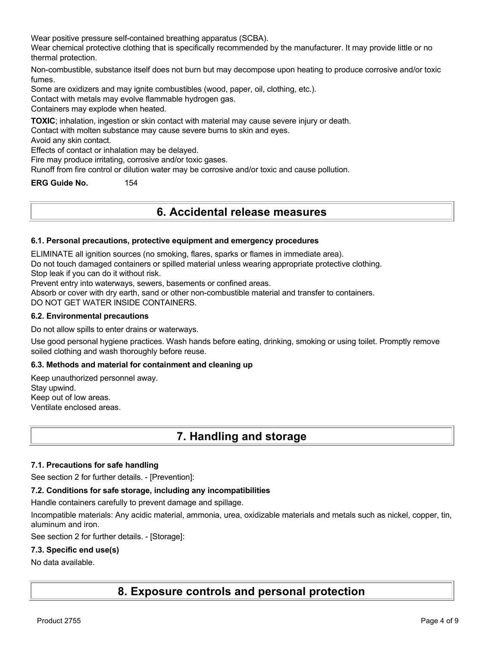Wear positive pressure self-contained breathing apparatus (SCBA).

Wear chemical protective clothing that is specifically recommended by the manufacturer. It may provide little or no thermal protection.

Non-combustible, substance itself does not burn but may decompose upon heating to produce corrosive and/or toxic fumes.

Some are oxidizers and may ignite combustibles (wood, paper, oil, clothing, etc.).

Contact with metals may evolve flammable hydrogen gas.

Containers may explode when heated.

**TOXIC**; inhalation, ingestion or skin contact with material may cause severe injury or death.

Contact with molten substance may cause severe burns to skin and eyes.

Avoid any skin contact.

Effects of contact or inhalation may be delayed.

Fire may produce irritating, corrosive and/or toxic gases.

Runoff from fire control or dilution water may be corrosive and/or toxic and cause pollution.

**ERG Guide No.** 154

### **6. Accidental release measures**

#### **6.1. Personal precautions, protective equipment and emergency procedures**

ELIMINATE all ignition sources (no smoking, flares, sparks or flames in immediate area).

Do not touch damaged containers or spilled material unless wearing appropriate protective clothing.

Stop leak if you can do it without risk.

Prevent entry into waterways, sewers, basements or confined areas.

Absorb or cover with dry earth, sand or other non-combustible material and transfer to containers.

DO NOT GET WATER INSIDE CONTAINERS.

#### **6.2. Environmental precautions**

Do not allow spills to enter drains or waterways.

Use good personal hygiene practices. Wash hands before eating, drinking, smoking or using toilet. Promptly remove soiled clothing and wash thoroughly before reuse.

#### **6.3. Methods and material for containment and cleaning up**

Keep unauthorized personnel away. Stay upwind. Keep out of low areas. Ventilate enclosed areas.

### **7. Handling and storage**

#### **7.1. Precautions for safe handling**

See section 2 for further details. - [Prevention]:

#### **7.2. Conditions for safe storage, including any incompatibilities**

Handle containers carefully to prevent damage and spillage.

Incompatible materials: Any acidic material, ammonia, urea, oxidizable materials and metals such as nickel, copper, tin, aluminum and iron.

See section 2 for further details. - [Storage]:

#### **7.3. Specific end use(s)**

#### No data available.

**8. Exposure controls and personal protection**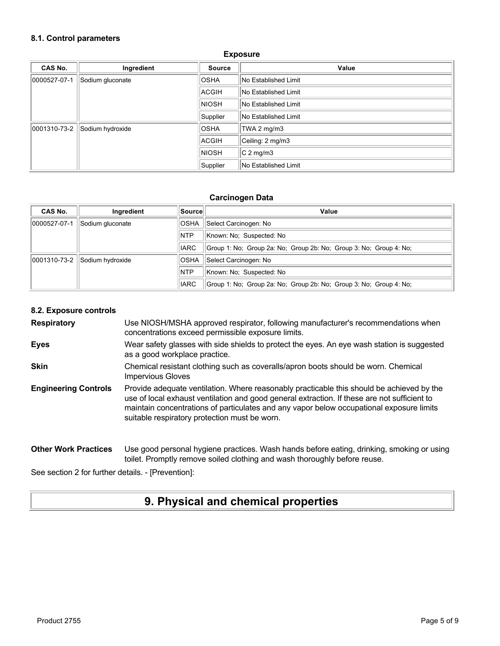#### **8.1. Control parameters**

| CAS No.      | Ingredient       | <b>Source</b> | Value                       |
|--------------|------------------|---------------|-----------------------------|
| 0000527-07-1 | Sodium gluconate | <b>OSHA</b>   | No Established Limit        |
|              |                  | ACGIH         | <b>No Established Limit</b> |
|              |                  | <b>NIOSH</b>  | <b>No Established Limit</b> |
|              |                  | Supplier      | No Established Limit        |
| 0001310-73-2 | Sodium hydroxide | <b>OSHA</b>   | TWA 2 mg/m3                 |
|              |                  | ACGIH         | Ceiling: 2 mg/m3            |
|              |                  | <b>NIOSH</b>  | $C2$ mg/m3                  |
|              |                  | Supplier      | No Established Limit        |

#### **Exposure**

#### **Carcinogen Data**

| <b>CAS No.</b> | Ingredient       | Source      | Value                                                              |
|----------------|------------------|-------------|--------------------------------------------------------------------|
| 0000527-07-1   | Sodium gluconate | <b>OSHA</b> | Select Carcinogen: No                                              |
|                |                  | <b>NTP</b>  | Known: No: Suspected: No                                           |
|                |                  | <b>IARC</b> | Group 1: No; Group 2a: No; Group 2b: No; Group 3: No; Group 4: No; |
| 0001310-73-2   | Sodium hydroxide | <b>OSHA</b> | Select Carcinogen: No                                              |
|                |                  | <b>NTP</b>  | Known: No: Suspected: No                                           |
|                |                  | <b>IARC</b> | Group 1: No; Group 2a: No; Group 2b: No; Group 3: No; Group 4: No; |

#### **8.2. Exposure controls**

**Respiratory** Use NIOSH/MSHA approved respirator, following manufacturer's recommendations when concentrations exceed permissible exposure limits.

**Eyes** Wear safety glasses with side shields to protect the eyes. An eye wash station is suggested as a good workplace practice.

**Skin** Chemical resistant clothing such as coveralls/apron boots should be worn. Chemical Impervious Gloves

**Engineering Controls** Provide adequate ventilation. Where reasonably practicable this should be achieved by the use of local exhaust ventilation and good general extraction. If these are not sufficient to maintain concentrations of particulates and any vapor below occupational exposure limits suitable respiratory protection must be worn.

**Other Work Practices** Use good personal hygiene practices. Wash hands before eating, drinking, smoking or using toilet. Promptly remove soiled clothing and wash thoroughly before reuse.

See section 2 for further details. - [Prevention]:

### **9. Physical and chemical properties**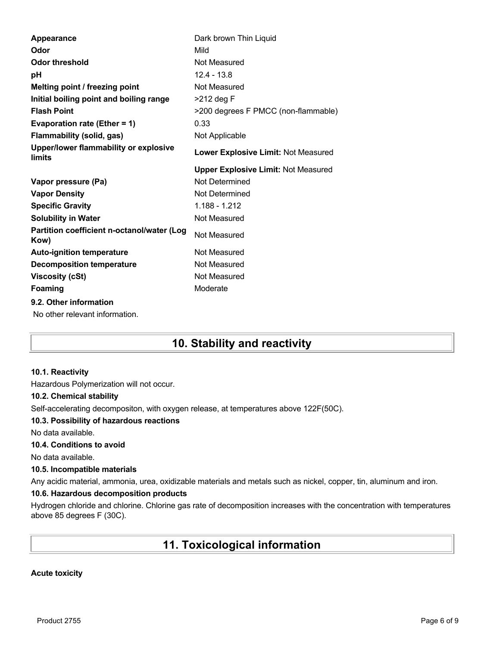| Appearance                                         | Dark brown Thin Liquid                     |
|----------------------------------------------------|--------------------------------------------|
| Odor                                               | Mild                                       |
| <b>Odor threshold</b>                              | Not Measured                               |
| рH                                                 | $12.4 - 13.8$                              |
| Melting point / freezing point                     | Not Measured                               |
| Initial boiling point and boiling range            | >212 deg F                                 |
| <b>Flash Point</b>                                 | >200 degrees F PMCC (non-flammable)        |
| Evaporation rate (Ether = 1)                       | 0.33                                       |
| <b>Flammability (solid, gas)</b>                   | Not Applicable                             |
| Upper/lower flammability or explosive<br>limits    | Lower Explosive Limit: Not Measured        |
|                                                    | <b>Upper Explosive Limit: Not Measured</b> |
|                                                    | Not Determined                             |
| Vapor pressure (Pa)                                |                                            |
| <b>Vapor Density</b>                               | Not Determined                             |
| <b>Specific Gravity</b>                            | 1.188 - 1.212                              |
| <b>Solubility in Water</b>                         | Not Measured                               |
| Partition coefficient n-octanol/water (Log<br>Kow) | Not Measured                               |
| <b>Auto-ignition temperature</b>                   | Not Measured                               |
| <b>Decomposition temperature</b>                   | Not Measured                               |
| <b>Viscosity (cSt)</b>                             | Not Measured                               |
| Foaming                                            | Moderate                                   |
| 9.2. Other information                             |                                            |

# **10. Stability and reactivity**

#### **10.1. Reactivity**

Hazardous Polymerization will not occur.

#### **10.2. Chemical stability**

Self-accelerating decompositon, with oxygen release, at temperatures above 122F(50C).

#### **10.3. Possibility of hazardous reactions**

No data available.

#### **10.4. Conditions to avoid**

No data available.

#### **10.5. Incompatible materials**

Any acidic material, ammonia, urea, oxidizable materials and metals such as nickel, copper, tin, aluminum and iron.

#### **10.6. Hazardous decomposition products**

Hydrogen chloride and chlorine. Chlorine gas rate of decomposition increases with the concentration with temperatures above 85 degrees F (30C).

# **11. Toxicological information**

#### **Acute toxicity**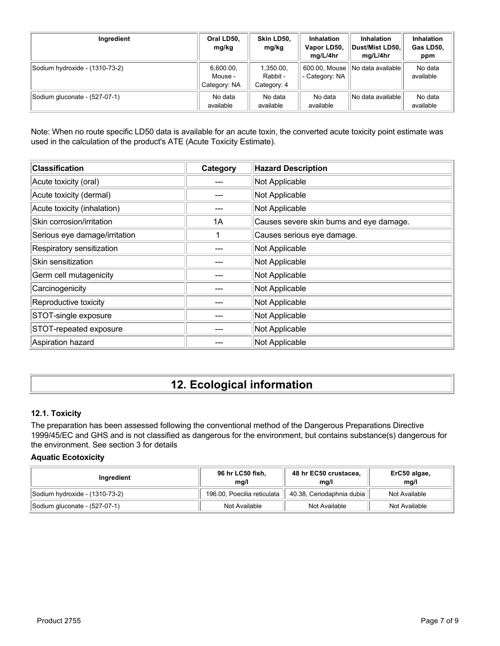| Ingredient                     | Oral LD50,<br>mg/kg                  | Skin LD50.<br>mg/kg                  | <b>Inhalation</b><br>Vapor LD50,<br>mg/L/4hr | <b>Inhalation</b><br>Dust/Mist LD50,<br>mg/L/4hr | <b>Inhalation</b><br>Gas LD50,<br>ppm |
|--------------------------------|--------------------------------------|--------------------------------------|----------------------------------------------|--------------------------------------------------|---------------------------------------|
| Sodium hydroxide - (1310-73-2) | 6,600.00,<br>Mouse -<br>Category: NA | 1,350.00,<br>Rabbit -<br>Category: 4 | 600.00, Mouse<br>- Category: NA              | No data available                                | No data<br>available                  |
| Sodium gluconate - (527-07-1)  | No data<br>available                 | No data<br>available                 | No data<br>available                         | No data availablel                               | No data<br>available                  |

Note: When no route specific LD50 data is available for an acute toxin, the converted acute toxicity point estimate was used in the calculation of the product's ATE (Acute Toxicity Estimate).

| <b>Classification</b>         | Category | <b>Hazard Description</b>                |
|-------------------------------|----------|------------------------------------------|
| Acute toxicity (oral)         |          | Not Applicable                           |
| Acute toxicity (dermal)       |          | Not Applicable                           |
| Acute toxicity (inhalation)   |          | Not Applicable                           |
| Skin corrosion/irritation     | 1A       | Causes severe skin burns and eye damage. |
| Serious eye damage/irritation |          | Causes serious eye damage.               |
| Respiratory sensitization     |          | Not Applicable                           |
| Skin sensitization            |          | Not Applicable                           |
| Germ cell mutagenicity        |          | Not Applicable                           |
| Carcinogenicity               |          | Not Applicable                           |
| Reproductive toxicity         |          | Not Applicable                           |
| STOT-single exposure          |          | Not Applicable                           |
| STOT-repeated exposure        |          | Not Applicable                           |
| Aspiration hazard             |          | Not Applicable                           |

# **12. Ecological information**

#### **12.1. Toxicity**

The preparation has been assessed following the conventional method of the Dangerous Preparations Directive 1999/45/EC and GHS and is not classified as dangerous for the environment, but contains substance(s) dangerous for the environment. See section 3 for details

#### **Aquatic Ecotoxicity**

| Inaredient                     | 96 hr LC50 fish,<br>mg/l    | 48 hr EC50 crustacea,<br>ma/l | ErC50 algae,<br>mq/l |
|--------------------------------|-----------------------------|-------------------------------|----------------------|
| Sodium hydroxide - (1310-73-2) | 196.00, Poecilia reticulata | 40.38, Ceriodaphnia dubia     | Not Available        |
| Sodium gluconate - (527-07-1)  | Not Available               | Not Available                 | Not Available        |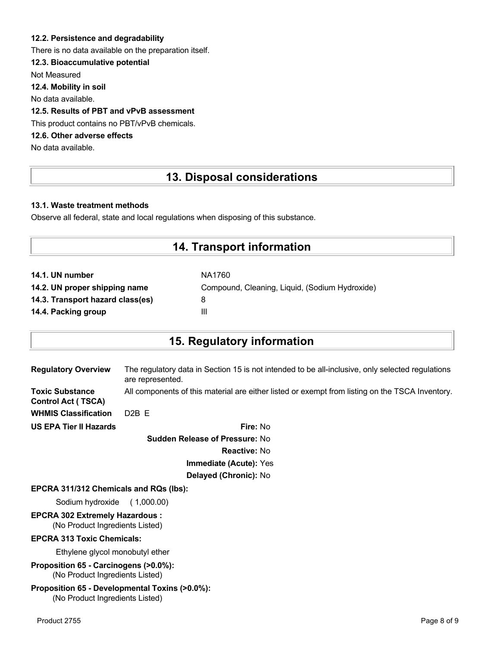#### **12.2. Persistence and degradability**

There is no data available on the preparation itself.

#### **12.3. Bioaccumulative potential**

Not Measured

**12.4. Mobility in soil**

No data available.

#### **12.5. Results of PBT and vPvB assessment**

This product contains no PBT/vPvB chemicals.

#### **12.6. Other adverse effects**

No data available.

### **13. Disposal considerations**

#### **13.1. Waste treatment methods**

Observe all federal, state and local regulations when disposing of this substance.

### **14. Transport information**

| NA1760                                         |
|------------------------------------------------|
| Compound, Cleaning, Liquid, (Sodium Hydroxide) |
| 8                                              |
| Ш                                              |
|                                                |

### **15. Regulatory information**

| <b>Regulatory Overview</b>                          | The regulatory data in Section 15 is not intended to be all-inclusive, only selected regulations<br>are represented. |
|-----------------------------------------------------|----------------------------------------------------------------------------------------------------------------------|
| <b>Toxic Substance</b><br><b>Control Act (TSCA)</b> | All components of this material are either listed or exempt from listing on the TSCA Inventory.                      |
| <b>WHMIS Classification</b>                         | $D2B$ F                                                                                                              |
| <b>US EPA Tier II Hazards</b>                       | Fire: No                                                                                                             |
|                                                     |                                                                                                                      |

**Sudden Release of Pressure:** No **Reactive:** No **Immediate (Acute):** Yes **Delayed (Chronic):** No

#### **EPCRA 311/312 Chemicals and RQs (lbs):**

Sodium hydroxide ( 1,000.00)

# **EPCRA 302 Extremely Hazardous :**

(No Product Ingredients Listed)

#### **EPCRA 313 Toxic Chemicals:**

Ethylene glycol monobutyl ether

**Proposition 65 - Carcinogens (>0.0%):** (No Product Ingredients Listed)

#### **Proposition 65 - Developmental Toxins (>0.0%):** (No Product Ingredients Listed)